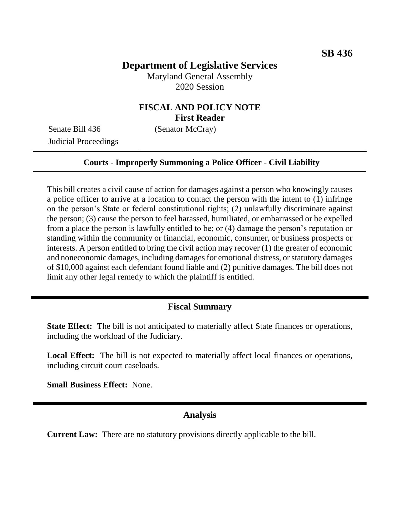# **Department of Legislative Services**

Maryland General Assembly 2020 Session

## **FISCAL AND POLICY NOTE First Reader**

Senate Bill 436 (Senator McCray) Judicial Proceedings

#### **Courts - Improperly Summoning a Police Officer - Civil Liability**

This bill creates a civil cause of action for damages against a person who knowingly causes a police officer to arrive at a location to contact the person with the intent to (1) infringe on the person's State or federal constitutional rights; (2) unlawfully discriminate against the person; (3) cause the person to feel harassed, humiliated, or embarrassed or be expelled from a place the person is lawfully entitled to be; or (4) damage the person's reputation or standing within the community or financial, economic, consumer, or business prospects or interests. A person entitled to bring the civil action may recover (1) the greater of economic and noneconomic damages, including damages for emotional distress, or statutory damages of \$10,000 against each defendant found liable and (2) punitive damages. The bill does not limit any other legal remedy to which the plaintiff is entitled.

#### **Fiscal Summary**

**State Effect:** The bill is not anticipated to materially affect State finances or operations, including the workload of the Judiciary.

**Local Effect:** The bill is not expected to materially affect local finances or operations, including circuit court caseloads.

**Small Business Effect:** None.

### **Analysis**

**Current Law:** There are no statutory provisions directly applicable to the bill.